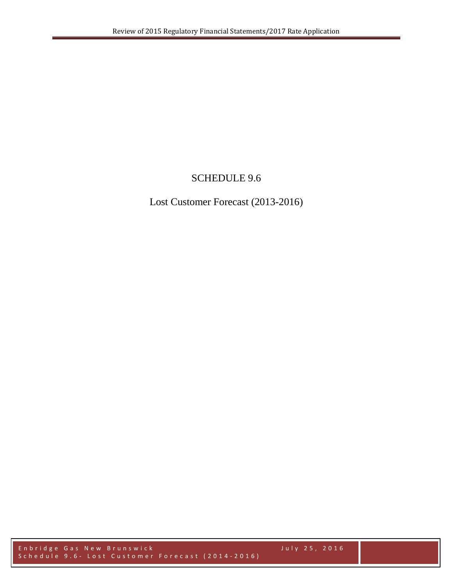# SCHEDULE 9.6

Lost Customer Forecast (2013-2016)

Enbridge Gas New Brunswick July 2 5 , 2016 Schedule 9.6 - Lost Customer Forecast (2014-2016)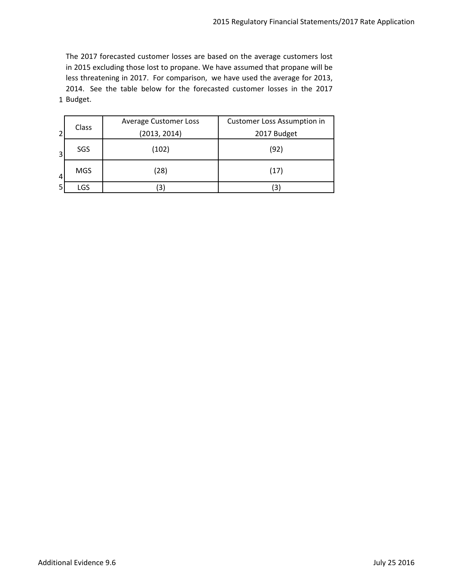1 Budget.The 2017 forecasted customer losses are based on the average customers lost in 2015 excluding those lost to propane. We have assumed that propane will be less threatening in 2017. For comparison, we have used the average for 2013, 2014. See the table below for the forecasted customer losses in the 2017

|                | Class      | <b>Average Customer Loss</b> | <b>Customer Loss Assumption in</b><br>2017 Budget |  |  |  |  |
|----------------|------------|------------------------------|---------------------------------------------------|--|--|--|--|
| $\overline{2}$ |            | (2013, 2014)                 |                                                   |  |  |  |  |
| 3              | SGS        | (102)                        | (92)                                              |  |  |  |  |
| 4              | <b>MGS</b> | (28)                         | (17)                                              |  |  |  |  |
|                | LGS        | 3)                           | 3                                                 |  |  |  |  |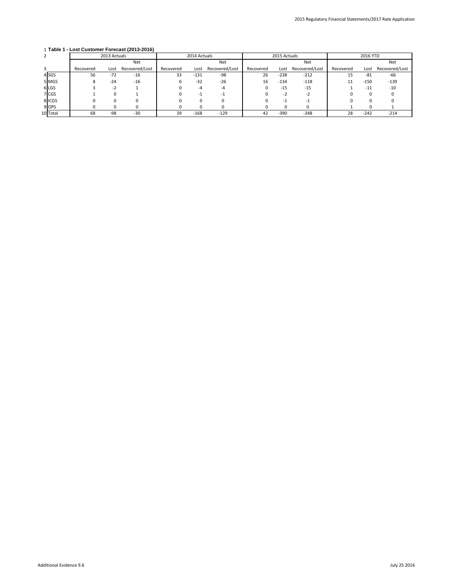## 1 **Table 1 - Lost Customer Forecast (2013-2016)**

|          | 2013 Actuals |       |                | 2014 Actuals |        |                | 2015 Actuals |        |                | 2016 YTD  |        |                |  |
|----------|--------------|-------|----------------|--------------|--------|----------------|--------------|--------|----------------|-----------|--------|----------------|--|
|          |              |       | <b>Net</b>     |              |        | <b>Net</b>     |              |        | <b>Net</b>     |           |        | <b>Net</b>     |  |
|          | Recovered    | Lost  | Recovered/Lost | Recovered    | Lost   | Recovered/Lost | Recovered    | Lost   | Recovered/Lost | Recovered | Lost   | Recovered/Lost |  |
| $4$ SGS  | 56           | $-72$ | $-16$          | 33           | $-131$ | $-98$          | 26           | $-238$ | $-212$         | 15        | -81    | -66            |  |
| 5 MGS    | 8            | $-24$ | $-16$          |              | $-32$  | $-26$          | 16           | $-134$ | $-118$         | 11        | $-150$ | -139           |  |
| 6LGS     |              | -2    |                |              |        |                |              | -15    | $-15$          |           | -11    | -10            |  |
| 7 CGS    |              |       |                |              |        |                |              |        |                |           |        |                |  |
| 8 ICGS   |              |       |                |              |        |                |              |        |                |           |        |                |  |
| $9$ OPS  |              |       |                |              |        |                |              |        |                |           |        |                |  |
| 10 Total | 68           | $-98$ | $-30$          | 39           | $-168$ | $-129$         | 42           | $-390$ | $-348$         | 28        | $-242$ | $-214$         |  |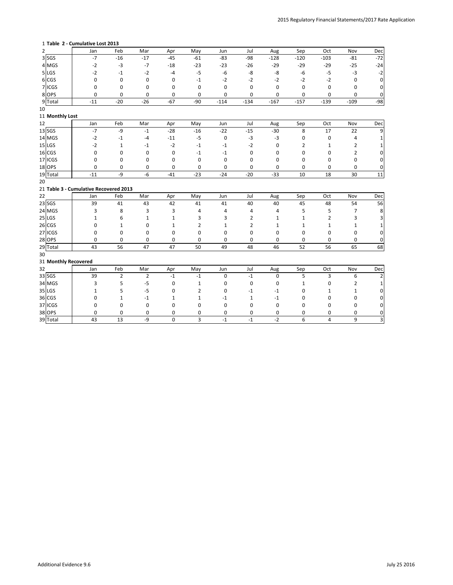### **Table 2 - Cumulative Lost 2013**

| $\overline{2}$ |                      | Jan                                    | Feb          | Mar         | Apr          | May   | Jun                 | Jul            | Aug         | Sep            | Oct    | Nov            | Dec              |
|----------------|----------------------|----------------------------------------|--------------|-------------|--------------|-------|---------------------|----------------|-------------|----------------|--------|----------------|------------------|
|                | $3$ SGS              | $-7$                                   | $-16$        | $-17$       | $-45$        | $-61$ | $-83$               | $-98$          | $-128$      | $-120$         | $-103$ | $-81$          | $-72$            |
|                | 4 MGS                | $-2$                                   | $-3$         | $-7$        | $-18$        | $-23$ | $-23$               | $-26$          | $-29$       | $-29$          | $-29$  | $-25$          | $-24$            |
|                | 5 LGS                | $-2$                                   | $-1$         | $-2$        | $-4$         | $-5$  | $-6$                | -8             | -8          | $-6$           | $-5$   | $-3$           | $-2$             |
|                | 6 CGS                | 0                                      | 0            | 0           | 0            | $-1$  | $-2$                | $-2$           | $-2$        | $-2$           | $-2$   | 0              | 0                |
|                | 7 ICGS               | 0                                      | 0            | 0           | 0            | 0     | $\mathbf 0$         | 0              | 0           | 0              | 0      | 0              | $\Omega$         |
|                | 8 OPS                | 0                                      | 0            | 0           | 0            | 0     | 0                   | 0              | $\mathbf 0$ | 0              | 0      | 0              | $\overline{0}$   |
|                | 9 Total              | $-11$                                  | $-20$        | $-26$       | $-67$        | $-90$ | $-114$              | $-134$         | $-167$      | $-157$         | $-139$ | $-109$         | $-98$            |
| 10             |                      |                                        |              |             |              |       |                     |                |             |                |        |                |                  |
|                | 11 Monthly Lost      |                                        |              |             |              |       |                     |                |             |                |        |                |                  |
| 12             |                      | Jan                                    | Feb          | Mar         | Apr          | May   | Jun                 | Jul            | Aug         | Sep            | Oct    | Nov            | Dec              |
|                | $13$ SGS             | $-7$                                   | $-9$         | $\text{-}1$ | $-28$        | $-16$ | $-22$               | $-15$          | $-30$       | 8              | 17     | 22             | 9                |
|                | 14 MGS               | $-2$                                   | $-1$         | $-4$        | $-11$        | $-5$  | $\mathbf 0$         | $-3$           | $-3$        | 0              | 0      | 4              |                  |
| $15$ LGS       |                      | $-2$                                   | $\mathbf{1}$ | $-1$        | $-2$         | $-1$  | $-1$                | $-2$           | 0           | $\overline{2}$ | 1      | $\overline{2}$ |                  |
|                | $16$ CGS             | 0                                      | 0            | $\pmb{0}$   | 0            | $-1$  | $-1$                | 0              | 0           | 0              | 0      | 2              | 0                |
|                | 17 ICGS              | 0                                      | 0            | 0           | 0            | 0     | 0                   | 0              | 0           | 0              | 0      | 0              | 0                |
|                | $18$ OPS             | 0                                      | 0            | 0           | 0            | 0     | $\mathbf 0$         | 0              | 0           | 0              | 0      | 0              | 0                |
|                | 19 Total             | $-11$                                  | $-9$         | $-6$        | $-41$        | $-23$ | $-24$               | $-20$          | $-33$       | 10             | 18     | 30             | 11               |
| 20             |                      |                                        |              |             |              |       |                     |                |             |                |        |                |                  |
|                |                      | 21 Table 3 - Cumulative Recovered 2013 |              |             |              |       |                     |                |             |                |        |                |                  |
| 22             |                      | Jan                                    | Feb          | Mar         | Apr          | May   | Jun                 | Jul            | Aug         | Sep            | Oct    | Nov            | Dec              |
|                | $23$ SGS             | 39                                     | 41           | 43          | 42           | 41    | 41                  | 40             | 40          | 45             | 48     | 54             | 56               |
|                | 24 MGS               | 3                                      | 8            | 3           | 3            | 4     | 4                   | 4              | 4           | 5              | 5      | 7              | 8                |
| $25$ LGS       |                      | 1                                      | 6            | 1           | 1            | 3     | 3                   | 2              | 1           | 1              | 2      | 3              |                  |
|                | $26$ CGS             | 0                                      | 1            | $\pmb{0}$   | $\mathbf{1}$ | 2     | 1                   | $\overline{2}$ | 1           | 1              | 1      | 1              |                  |
|                | 27 ICGS              | 0                                      | 0            | 0           | 0            | 0     | 0                   | 0              | 0           | 0              | 0      | 0              | $\Omega$         |
|                | $28$ OPS             | 0                                      | 0            | 0           | 0            | 0     | 0                   | 0              | 0           | 0              | 0      | 0              | $\Omega$         |
|                | 29 Total             | 43                                     | 56           | 47          | 47           | 50    | 49                  | 48             | 46          | 52             | 56     | 65             | 68               |
| 30             |                      |                                        |              |             |              |       |                     |                |             |                |        |                |                  |
|                | 31 Monthly Recovered |                                        |              |             |              |       |                     |                |             |                |        |                |                  |
| 32             |                      | Jan                                    | Feb          | Mar         | Apr          | May   | Jun                 | Jul            | Aug         | Sep            | Oct    | Nov            | Dec <sup>1</sup> |
|                | 33 SGS               | 39                                     |              | 2           | -1           | -1    |                     | -1             | 0           | Ь              |        | b              |                  |
|                | 34 MGS               | 3                                      | 5            | $-5$        | 0            |       | O                   | 0              | 0           | 1              | 0      | 2              |                  |
|                | $35$ LGS             |                                        | 5            | $-5$        | 0            | 2     | 0                   | $-1$           | $-1$        | 0              |        | 1              |                  |
|                | 36 CGS               | 0                                      |              | $-1$        | 1            |       | -1                  | 1              | $-1$        | 0              | 0      | 0              |                  |
|                | 37 ICGS              | 0                                      | 0            | $\pmb{0}$   | 0            | 0     | 0                   | 0              | 0           | 0              | 0      | 0              | 0                |
|                |                      |                                        |              |             |              |       |                     |                |             |                |        |                |                  |
|                | 38 OPS<br>39 Total   | 0<br>43                                | 0<br>13      | 0<br>-9     | 0            | 0     | 0<br>$^{\mbox{-}}1$ | 0              | 0<br>$-2$   | 0              | 0      | 0              | 0                |

Additional Evidence 9.6 July 25 2016

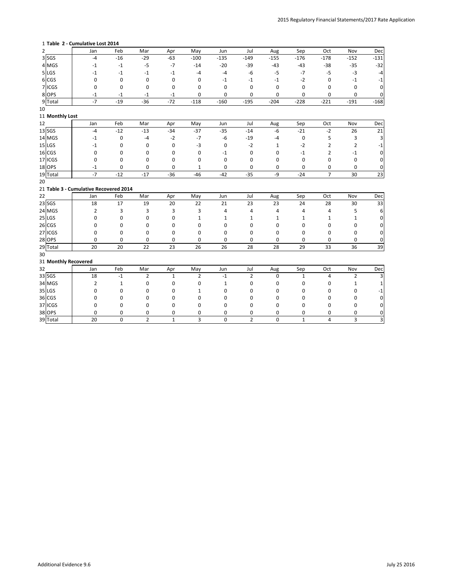### **Table 2 - Cumulative Lost 2014**

| Feb<br>Sep<br>Mar<br>May<br>Jul<br>Aug<br>Oct<br>Nov<br>2<br>Apr<br>Jun<br>Jan<br>$3$ SGS<br>$-29$<br>$-63$<br>$-100$<br>$-135$<br>$-155$<br>$-176$<br>$-178$<br>$-4$<br>$-16$<br>$-149$<br>$-152$<br>4 MGS<br>$-20$<br>$-5$<br>$-14$<br>$-39$<br>$-43$<br>$-43$<br>$-38$<br>$-35$<br>$-1$<br>$-1$<br>$-7$<br>$5$ LGS<br>$-3$<br>$-6$<br>$-5$<br>$-7$<br>$-5$<br>$-1$<br>$-1$<br>$-1$<br>$-4$<br>$-1$<br>-4<br>6 CGS<br>$-2$<br>0<br>0<br>0<br>$-1$<br>0<br>$-1$<br>$-1$<br>$-1$<br>0<br>0<br>7 ICGS<br>0<br>$\mathbf 0$<br>0<br>0<br>$\mathbf 0$<br>0<br>0<br>0<br>0<br>0<br>0<br>8 OPS<br>$-1$<br>0<br>$\mathbf 0$<br>0<br>0<br>0<br>$-1$<br>$-1$<br>$-1$<br>0<br>0<br>$-7$<br>$-36$<br>$-72$<br>$-204$<br>$-228$<br>$-221$<br>9 Total<br>$-19$<br>$-118$<br>$-160$<br>$-195$<br>$-191$<br>11 Monthly Lost<br>Feb<br>Jul<br>Sep<br>Oct<br>Mar<br>Apr<br>May<br>Jun<br>Aug<br>Nov<br>Jan<br>$-37$<br>$-12$<br>$-34$<br>$-35$<br>$-6$<br>$-21$<br>$-2$<br>26<br>$-13$<br>$-14$<br>$-4$<br>3<br>$-2$<br>$-7$<br>-6<br>$-19$<br>5<br>0<br>$-4$<br>$-4$<br>0<br>$-1$<br>$-3$<br>$\pmb{0}$<br>$-2$<br>$-2$<br>$\overline{2}$<br>0<br>0<br>0<br>2<br>$-1$<br>1<br>0<br>0<br>0<br>0<br>0<br>$-1$<br>0<br>$-1$<br>2<br>$-1$<br>0<br>0<br>0<br>$\mathbf 0$<br>0<br>$\mathbf 0$<br>0<br>0<br>0<br>0<br>0<br>0<br>0<br>0<br>$\mathbf 0$<br>0<br>0<br>$-1$<br>0<br>1<br>0<br>0<br>0<br>$-7$<br>$-12$<br>$-36$<br>$-46$<br>$-35$<br>$-9$<br>$\overline{7}$<br>$-17$<br>$-42$<br>$-24$<br>30<br>21 Table 3 - Cumulative Recovered 2014<br>Feb<br>Sep<br>Oct<br>Mar<br>May<br>Jun<br>Jul<br>Aug<br>Nov<br>Apr<br>Jan<br>18<br>17<br>19<br>22<br>21<br>23<br>23<br>24<br>28<br>30<br>20<br>$\overline{2}$<br>3<br>3<br>3<br>5<br>3<br>4<br>4<br>4<br>4<br>4<br>0<br>0<br>0<br>0<br>1<br>1<br>1<br>1<br>1<br>1<br>1<br>0<br>$\mathbf 0$<br>0<br>0<br>0<br>0<br>0<br>0<br>0<br>0<br>0<br>0<br>0<br>0<br>0<br>0<br>0<br>0<br>0<br>0<br>0<br>0<br>0<br>0<br>0<br>0<br>0<br>0<br>0<br>0<br>0<br>0<br>0<br>29 Total<br>20<br>20<br>22<br>23<br>26<br>26<br>28<br>29<br>33<br>36<br>28<br>31 Monthly Recovered<br>Feb<br>Mar<br>May<br>Jul<br>Sep<br>Oct<br>Nov<br>Apr<br>Jun<br>Aug<br>Jan<br>33 SGS<br>18<br>-1<br>2<br>-1<br>0<br>34 MGS<br>$\overline{2}$<br>0<br>0<br>$\mathbf{1}$<br>0<br>0<br>$\mathbf{1}$<br>1<br>0<br>0<br>0<br>$35$ LGS<br>0<br>0<br>0<br>0<br>0<br>0<br>0<br>0<br>0<br>0<br>$36$ CGS<br>0<br>0<br>0<br>0<br>0<br>0<br>0<br>0<br>0<br>0<br>0<br>37 ICGS<br>$\boldsymbol{0}$<br>$\pmb{0}$<br>$\pmb{0}$<br>0<br>0<br>0<br>0<br>0<br>0<br>0<br>0<br>38 OPS<br>$\mathbf 0$<br>$\pmb{0}$<br>0<br>0<br>0<br>0<br>0<br>0<br>0<br>0<br>0<br>39 Total<br>$\overline{2}$<br>$\overline{\mathbf{3}}$<br>$\pmb{0}$<br>$\overline{2}$<br>$\overline{3}$<br>20<br>$\pmb{0}$<br>$\mathbf{1}$<br>$\pmb{0}$<br>$\mathbf 1$<br>$\overline{4}$ |  |  |  |  |  |  |          |
|---------------------------------------------------------------------------------------------------------------------------------------------------------------------------------------------------------------------------------------------------------------------------------------------------------------------------------------------------------------------------------------------------------------------------------------------------------------------------------------------------------------------------------------------------------------------------------------------------------------------------------------------------------------------------------------------------------------------------------------------------------------------------------------------------------------------------------------------------------------------------------------------------------------------------------------------------------------------------------------------------------------------------------------------------------------------------------------------------------------------------------------------------------------------------------------------------------------------------------------------------------------------------------------------------------------------------------------------------------------------------------------------------------------------------------------------------------------------------------------------------------------------------------------------------------------------------------------------------------------------------------------------------------------------------------------------------------------------------------------------------------------------------------------------------------------------------------------------------------------------------------------------------------------------------------------------------------------------------------------------------------------------------------------------------------------------------------------------------------------------------------------------------------------------------------------------------------------------------------------------------------------------------------------------------------------------------------------------------------------------------------------------------------------------------------------------------------------------------------------------------------------------------------------------------------------------------------------------------------------------------------------------------------------------------------------------------------------------------------------------------------------------------------------------------------------------------------|--|--|--|--|--|--|----------|
|                                                                                                                                                                                                                                                                                                                                                                                                                                                                                                                                                                                                                                                                                                                                                                                                                                                                                                                                                                                                                                                                                                                                                                                                                                                                                                                                                                                                                                                                                                                                                                                                                                                                                                                                                                                                                                                                                                                                                                                                                                                                                                                                                                                                                                                                                                                                                                                                                                                                                                                                                                                                                                                                                                                                                                                                                                 |  |  |  |  |  |  | Dec      |
|                                                                                                                                                                                                                                                                                                                                                                                                                                                                                                                                                                                                                                                                                                                                                                                                                                                                                                                                                                                                                                                                                                                                                                                                                                                                                                                                                                                                                                                                                                                                                                                                                                                                                                                                                                                                                                                                                                                                                                                                                                                                                                                                                                                                                                                                                                                                                                                                                                                                                                                                                                                                                                                                                                                                                                                                                                 |  |  |  |  |  |  | $-131$   |
|                                                                                                                                                                                                                                                                                                                                                                                                                                                                                                                                                                                                                                                                                                                                                                                                                                                                                                                                                                                                                                                                                                                                                                                                                                                                                                                                                                                                                                                                                                                                                                                                                                                                                                                                                                                                                                                                                                                                                                                                                                                                                                                                                                                                                                                                                                                                                                                                                                                                                                                                                                                                                                                                                                                                                                                                                                 |  |  |  |  |  |  | $-32$    |
| 10<br>12<br>$13$ SGS<br>14 MGS<br>$15$ LGS<br>$16$ CGS<br>17 ICGS<br>$18$ OPS<br>19 Total<br>20<br>22<br>$23$ SGS<br>24 MGS<br>$25$ LGS<br>$26$ CGS<br>27 ICGS<br>$28$ OPS<br>30<br>32                                                                                                                                                                                                                                                                                                                                                                                                                                                                                                                                                                                                                                                                                                                                                                                                                                                                                                                                                                                                                                                                                                                                                                                                                                                                                                                                                                                                                                                                                                                                                                                                                                                                                                                                                                                                                                                                                                                                                                                                                                                                                                                                                                                                                                                                                                                                                                                                                                                                                                                                                                                                                                          |  |  |  |  |  |  | $-4$     |
|                                                                                                                                                                                                                                                                                                                                                                                                                                                                                                                                                                                                                                                                                                                                                                                                                                                                                                                                                                                                                                                                                                                                                                                                                                                                                                                                                                                                                                                                                                                                                                                                                                                                                                                                                                                                                                                                                                                                                                                                                                                                                                                                                                                                                                                                                                                                                                                                                                                                                                                                                                                                                                                                                                                                                                                                                                 |  |  |  |  |  |  | -1       |
|                                                                                                                                                                                                                                                                                                                                                                                                                                                                                                                                                                                                                                                                                                                                                                                                                                                                                                                                                                                                                                                                                                                                                                                                                                                                                                                                                                                                                                                                                                                                                                                                                                                                                                                                                                                                                                                                                                                                                                                                                                                                                                                                                                                                                                                                                                                                                                                                                                                                                                                                                                                                                                                                                                                                                                                                                                 |  |  |  |  |  |  | 0        |
|                                                                                                                                                                                                                                                                                                                                                                                                                                                                                                                                                                                                                                                                                                                                                                                                                                                                                                                                                                                                                                                                                                                                                                                                                                                                                                                                                                                                                                                                                                                                                                                                                                                                                                                                                                                                                                                                                                                                                                                                                                                                                                                                                                                                                                                                                                                                                                                                                                                                                                                                                                                                                                                                                                                                                                                                                                 |  |  |  |  |  |  | 0        |
|                                                                                                                                                                                                                                                                                                                                                                                                                                                                                                                                                                                                                                                                                                                                                                                                                                                                                                                                                                                                                                                                                                                                                                                                                                                                                                                                                                                                                                                                                                                                                                                                                                                                                                                                                                                                                                                                                                                                                                                                                                                                                                                                                                                                                                                                                                                                                                                                                                                                                                                                                                                                                                                                                                                                                                                                                                 |  |  |  |  |  |  | $-168$   |
|                                                                                                                                                                                                                                                                                                                                                                                                                                                                                                                                                                                                                                                                                                                                                                                                                                                                                                                                                                                                                                                                                                                                                                                                                                                                                                                                                                                                                                                                                                                                                                                                                                                                                                                                                                                                                                                                                                                                                                                                                                                                                                                                                                                                                                                                                                                                                                                                                                                                                                                                                                                                                                                                                                                                                                                                                                 |  |  |  |  |  |  |          |
|                                                                                                                                                                                                                                                                                                                                                                                                                                                                                                                                                                                                                                                                                                                                                                                                                                                                                                                                                                                                                                                                                                                                                                                                                                                                                                                                                                                                                                                                                                                                                                                                                                                                                                                                                                                                                                                                                                                                                                                                                                                                                                                                                                                                                                                                                                                                                                                                                                                                                                                                                                                                                                                                                                                                                                                                                                 |  |  |  |  |  |  |          |
|                                                                                                                                                                                                                                                                                                                                                                                                                                                                                                                                                                                                                                                                                                                                                                                                                                                                                                                                                                                                                                                                                                                                                                                                                                                                                                                                                                                                                                                                                                                                                                                                                                                                                                                                                                                                                                                                                                                                                                                                                                                                                                                                                                                                                                                                                                                                                                                                                                                                                                                                                                                                                                                                                                                                                                                                                                 |  |  |  |  |  |  | Dec      |
|                                                                                                                                                                                                                                                                                                                                                                                                                                                                                                                                                                                                                                                                                                                                                                                                                                                                                                                                                                                                                                                                                                                                                                                                                                                                                                                                                                                                                                                                                                                                                                                                                                                                                                                                                                                                                                                                                                                                                                                                                                                                                                                                                                                                                                                                                                                                                                                                                                                                                                                                                                                                                                                                                                                                                                                                                                 |  |  |  |  |  |  | 21       |
|                                                                                                                                                                                                                                                                                                                                                                                                                                                                                                                                                                                                                                                                                                                                                                                                                                                                                                                                                                                                                                                                                                                                                                                                                                                                                                                                                                                                                                                                                                                                                                                                                                                                                                                                                                                                                                                                                                                                                                                                                                                                                                                                                                                                                                                                                                                                                                                                                                                                                                                                                                                                                                                                                                                                                                                                                                 |  |  |  |  |  |  | 3        |
|                                                                                                                                                                                                                                                                                                                                                                                                                                                                                                                                                                                                                                                                                                                                                                                                                                                                                                                                                                                                                                                                                                                                                                                                                                                                                                                                                                                                                                                                                                                                                                                                                                                                                                                                                                                                                                                                                                                                                                                                                                                                                                                                                                                                                                                                                                                                                                                                                                                                                                                                                                                                                                                                                                                                                                                                                                 |  |  |  |  |  |  | -1       |
|                                                                                                                                                                                                                                                                                                                                                                                                                                                                                                                                                                                                                                                                                                                                                                                                                                                                                                                                                                                                                                                                                                                                                                                                                                                                                                                                                                                                                                                                                                                                                                                                                                                                                                                                                                                                                                                                                                                                                                                                                                                                                                                                                                                                                                                                                                                                                                                                                                                                                                                                                                                                                                                                                                                                                                                                                                 |  |  |  |  |  |  | $\Omega$ |
|                                                                                                                                                                                                                                                                                                                                                                                                                                                                                                                                                                                                                                                                                                                                                                                                                                                                                                                                                                                                                                                                                                                                                                                                                                                                                                                                                                                                                                                                                                                                                                                                                                                                                                                                                                                                                                                                                                                                                                                                                                                                                                                                                                                                                                                                                                                                                                                                                                                                                                                                                                                                                                                                                                                                                                                                                                 |  |  |  |  |  |  | 0        |
|                                                                                                                                                                                                                                                                                                                                                                                                                                                                                                                                                                                                                                                                                                                                                                                                                                                                                                                                                                                                                                                                                                                                                                                                                                                                                                                                                                                                                                                                                                                                                                                                                                                                                                                                                                                                                                                                                                                                                                                                                                                                                                                                                                                                                                                                                                                                                                                                                                                                                                                                                                                                                                                                                                                                                                                                                                 |  |  |  |  |  |  | 0        |
|                                                                                                                                                                                                                                                                                                                                                                                                                                                                                                                                                                                                                                                                                                                                                                                                                                                                                                                                                                                                                                                                                                                                                                                                                                                                                                                                                                                                                                                                                                                                                                                                                                                                                                                                                                                                                                                                                                                                                                                                                                                                                                                                                                                                                                                                                                                                                                                                                                                                                                                                                                                                                                                                                                                                                                                                                                 |  |  |  |  |  |  | 23       |
|                                                                                                                                                                                                                                                                                                                                                                                                                                                                                                                                                                                                                                                                                                                                                                                                                                                                                                                                                                                                                                                                                                                                                                                                                                                                                                                                                                                                                                                                                                                                                                                                                                                                                                                                                                                                                                                                                                                                                                                                                                                                                                                                                                                                                                                                                                                                                                                                                                                                                                                                                                                                                                                                                                                                                                                                                                 |  |  |  |  |  |  |          |
|                                                                                                                                                                                                                                                                                                                                                                                                                                                                                                                                                                                                                                                                                                                                                                                                                                                                                                                                                                                                                                                                                                                                                                                                                                                                                                                                                                                                                                                                                                                                                                                                                                                                                                                                                                                                                                                                                                                                                                                                                                                                                                                                                                                                                                                                                                                                                                                                                                                                                                                                                                                                                                                                                                                                                                                                                                 |  |  |  |  |  |  |          |
|                                                                                                                                                                                                                                                                                                                                                                                                                                                                                                                                                                                                                                                                                                                                                                                                                                                                                                                                                                                                                                                                                                                                                                                                                                                                                                                                                                                                                                                                                                                                                                                                                                                                                                                                                                                                                                                                                                                                                                                                                                                                                                                                                                                                                                                                                                                                                                                                                                                                                                                                                                                                                                                                                                                                                                                                                                 |  |  |  |  |  |  | Dec      |
|                                                                                                                                                                                                                                                                                                                                                                                                                                                                                                                                                                                                                                                                                                                                                                                                                                                                                                                                                                                                                                                                                                                                                                                                                                                                                                                                                                                                                                                                                                                                                                                                                                                                                                                                                                                                                                                                                                                                                                                                                                                                                                                                                                                                                                                                                                                                                                                                                                                                                                                                                                                                                                                                                                                                                                                                                                 |  |  |  |  |  |  | 33       |
|                                                                                                                                                                                                                                                                                                                                                                                                                                                                                                                                                                                                                                                                                                                                                                                                                                                                                                                                                                                                                                                                                                                                                                                                                                                                                                                                                                                                                                                                                                                                                                                                                                                                                                                                                                                                                                                                                                                                                                                                                                                                                                                                                                                                                                                                                                                                                                                                                                                                                                                                                                                                                                                                                                                                                                                                                                 |  |  |  |  |  |  | 6        |
|                                                                                                                                                                                                                                                                                                                                                                                                                                                                                                                                                                                                                                                                                                                                                                                                                                                                                                                                                                                                                                                                                                                                                                                                                                                                                                                                                                                                                                                                                                                                                                                                                                                                                                                                                                                                                                                                                                                                                                                                                                                                                                                                                                                                                                                                                                                                                                                                                                                                                                                                                                                                                                                                                                                                                                                                                                 |  |  |  |  |  |  | 0        |
|                                                                                                                                                                                                                                                                                                                                                                                                                                                                                                                                                                                                                                                                                                                                                                                                                                                                                                                                                                                                                                                                                                                                                                                                                                                                                                                                                                                                                                                                                                                                                                                                                                                                                                                                                                                                                                                                                                                                                                                                                                                                                                                                                                                                                                                                                                                                                                                                                                                                                                                                                                                                                                                                                                                                                                                                                                 |  |  |  |  |  |  | 0        |
|                                                                                                                                                                                                                                                                                                                                                                                                                                                                                                                                                                                                                                                                                                                                                                                                                                                                                                                                                                                                                                                                                                                                                                                                                                                                                                                                                                                                                                                                                                                                                                                                                                                                                                                                                                                                                                                                                                                                                                                                                                                                                                                                                                                                                                                                                                                                                                                                                                                                                                                                                                                                                                                                                                                                                                                                                                 |  |  |  |  |  |  | $\Omega$ |
|                                                                                                                                                                                                                                                                                                                                                                                                                                                                                                                                                                                                                                                                                                                                                                                                                                                                                                                                                                                                                                                                                                                                                                                                                                                                                                                                                                                                                                                                                                                                                                                                                                                                                                                                                                                                                                                                                                                                                                                                                                                                                                                                                                                                                                                                                                                                                                                                                                                                                                                                                                                                                                                                                                                                                                                                                                 |  |  |  |  |  |  | 0        |
|                                                                                                                                                                                                                                                                                                                                                                                                                                                                                                                                                                                                                                                                                                                                                                                                                                                                                                                                                                                                                                                                                                                                                                                                                                                                                                                                                                                                                                                                                                                                                                                                                                                                                                                                                                                                                                                                                                                                                                                                                                                                                                                                                                                                                                                                                                                                                                                                                                                                                                                                                                                                                                                                                                                                                                                                                                 |  |  |  |  |  |  | 39       |
|                                                                                                                                                                                                                                                                                                                                                                                                                                                                                                                                                                                                                                                                                                                                                                                                                                                                                                                                                                                                                                                                                                                                                                                                                                                                                                                                                                                                                                                                                                                                                                                                                                                                                                                                                                                                                                                                                                                                                                                                                                                                                                                                                                                                                                                                                                                                                                                                                                                                                                                                                                                                                                                                                                                                                                                                                                 |  |  |  |  |  |  |          |
|                                                                                                                                                                                                                                                                                                                                                                                                                                                                                                                                                                                                                                                                                                                                                                                                                                                                                                                                                                                                                                                                                                                                                                                                                                                                                                                                                                                                                                                                                                                                                                                                                                                                                                                                                                                                                                                                                                                                                                                                                                                                                                                                                                                                                                                                                                                                                                                                                                                                                                                                                                                                                                                                                                                                                                                                                                 |  |  |  |  |  |  |          |
|                                                                                                                                                                                                                                                                                                                                                                                                                                                                                                                                                                                                                                                                                                                                                                                                                                                                                                                                                                                                                                                                                                                                                                                                                                                                                                                                                                                                                                                                                                                                                                                                                                                                                                                                                                                                                                                                                                                                                                                                                                                                                                                                                                                                                                                                                                                                                                                                                                                                                                                                                                                                                                                                                                                                                                                                                                 |  |  |  |  |  |  | Dec      |
|                                                                                                                                                                                                                                                                                                                                                                                                                                                                                                                                                                                                                                                                                                                                                                                                                                                                                                                                                                                                                                                                                                                                                                                                                                                                                                                                                                                                                                                                                                                                                                                                                                                                                                                                                                                                                                                                                                                                                                                                                                                                                                                                                                                                                                                                                                                                                                                                                                                                                                                                                                                                                                                                                                                                                                                                                                 |  |  |  |  |  |  |          |
|                                                                                                                                                                                                                                                                                                                                                                                                                                                                                                                                                                                                                                                                                                                                                                                                                                                                                                                                                                                                                                                                                                                                                                                                                                                                                                                                                                                                                                                                                                                                                                                                                                                                                                                                                                                                                                                                                                                                                                                                                                                                                                                                                                                                                                                                                                                                                                                                                                                                                                                                                                                                                                                                                                                                                                                                                                 |  |  |  |  |  |  |          |
|                                                                                                                                                                                                                                                                                                                                                                                                                                                                                                                                                                                                                                                                                                                                                                                                                                                                                                                                                                                                                                                                                                                                                                                                                                                                                                                                                                                                                                                                                                                                                                                                                                                                                                                                                                                                                                                                                                                                                                                                                                                                                                                                                                                                                                                                                                                                                                                                                                                                                                                                                                                                                                                                                                                                                                                                                                 |  |  |  |  |  |  |          |
|                                                                                                                                                                                                                                                                                                                                                                                                                                                                                                                                                                                                                                                                                                                                                                                                                                                                                                                                                                                                                                                                                                                                                                                                                                                                                                                                                                                                                                                                                                                                                                                                                                                                                                                                                                                                                                                                                                                                                                                                                                                                                                                                                                                                                                                                                                                                                                                                                                                                                                                                                                                                                                                                                                                                                                                                                                 |  |  |  |  |  |  | 0        |
|                                                                                                                                                                                                                                                                                                                                                                                                                                                                                                                                                                                                                                                                                                                                                                                                                                                                                                                                                                                                                                                                                                                                                                                                                                                                                                                                                                                                                                                                                                                                                                                                                                                                                                                                                                                                                                                                                                                                                                                                                                                                                                                                                                                                                                                                                                                                                                                                                                                                                                                                                                                                                                                                                                                                                                                                                                 |  |  |  |  |  |  | 0        |
|                                                                                                                                                                                                                                                                                                                                                                                                                                                                                                                                                                                                                                                                                                                                                                                                                                                                                                                                                                                                                                                                                                                                                                                                                                                                                                                                                                                                                                                                                                                                                                                                                                                                                                                                                                                                                                                                                                                                                                                                                                                                                                                                                                                                                                                                                                                                                                                                                                                                                                                                                                                                                                                                                                                                                                                                                                 |  |  |  |  |  |  | 0        |
|                                                                                                                                                                                                                                                                                                                                                                                                                                                                                                                                                                                                                                                                                                                                                                                                                                                                                                                                                                                                                                                                                                                                                                                                                                                                                                                                                                                                                                                                                                                                                                                                                                                                                                                                                                                                                                                                                                                                                                                                                                                                                                                                                                                                                                                                                                                                                                                                                                                                                                                                                                                                                                                                                                                                                                                                                                 |  |  |  |  |  |  | 3        |

Additional Evidence 9.6 July 25 2016

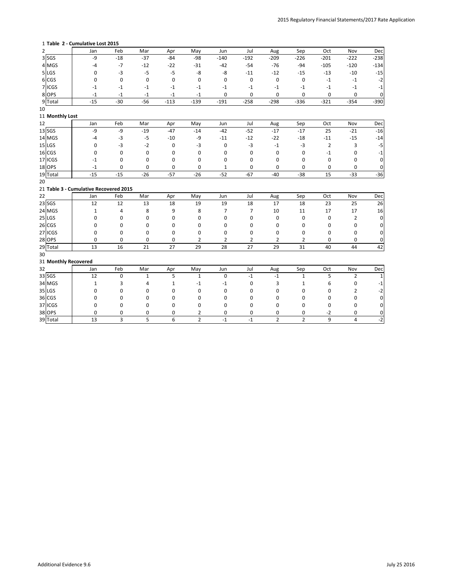### **Table 2 - Cumulative Lost 2015**

| $\overline{2}$ |                      | Jan                                    | Feb          | Mar   | Apr          | May            | Jun                        | Jul               | Aug            | Sep            | Oct            | Nov    | Dec    |
|----------------|----------------------|----------------------------------------|--------------|-------|--------------|----------------|----------------------------|-------------------|----------------|----------------|----------------|--------|--------|
|                | $3$ SGS              | $-9$                                   | $-18$        | $-37$ | $-84$        | $-98$          | $-140$                     | $-192$            | $-209$         | $-226$         | $-201$         | $-222$ | $-238$ |
|                | 4 MGS                | -4                                     | $-7$         | $-12$ | $-22$        | $-31$          | $-42$                      | $-54$             | $-76$          | $-94$          | $-105$         | $-120$ | $-134$ |
|                | $5$ LGS              | 0                                      | $-3$         | $-5$  | $-5$         | -8             | -8                         | $-11$             | $-12$          | $-15$          | $-13$          | $-10$  | $-15$  |
|                | 6 CGS                | 0                                      | 0            | 0     | 0            | 0              | 0                          | 0                 | 0              | 0              | $-1$           | $-1$   | $-2$   |
|                | 7 ICGS               | $-1$                                   | -1           | $-1$  | $-1$         | -1             | $-1$                       | $-1$              | $-1$           | $-1$           | $-1$           | $-1$   | $-1$   |
|                | 8 OPS                | $-1$                                   | $-1$         | -1    | $-1$         | $-1$           | $\mathbf 0$                | 0                 | 0              | 0              | 0              | 0      | 0      |
|                | 9 Total              | $-15$                                  | $-30$        | $-56$ | $-113$       | $-139$         | $-191$                     | $-258$            | $-298$         | $-336$         | $-321$         | $-354$ | $-390$ |
| 10             |                      |                                        |              |       |              |                |                            |                   |                |                |                |        |        |
|                | 11 Monthly Lost      |                                        |              |       |              |                |                            |                   |                |                |                |        |        |
| 12             |                      | Jan                                    | Feb          | Mar   | Apr          | May            | Jun                        | Jul               | Aug            | Sep            | Oct            | Nov    | Dec    |
|                | $13$ SGS             | $-9$                                   | -9           | $-19$ | $-47$        | $-14$          | $-42$                      | $-52$             | $-17$          | $-17$          | 25             | $-21$  | $-16$  |
|                | 14 MGS               | -4                                     | $-3$         | $-5$  | $-10$        | -9             | $-11$                      | $-12$             | $-22$          | $-18$          | $-11$          | $-15$  | $-14$  |
|                | $15$ LGS             | 0                                      | -3           | $-2$  | 0            | $-3$           | 0                          | $-3$              | $-1$           | $-3$           | $\overline{2}$ | 3      | $-5$   |
|                | $16$ CGS             | 0                                      | 0            | 0     | 0            | 0              | 0                          | 0                 | 0              | 0              | $^{\rm -1}$    | 0      | $-1$   |
|                | 17 ICGS              | $-1$                                   | 0            | 0     | 0            | 0              | 0                          | 0                 | 0              | 0              | 0              | 0      | 0      |
|                | $18$ OPS             | $-1$                                   | 0            | 0     | 0            | 0              | 1                          | 0                 | 0              | 0              | 0              | 0      | 0      |
|                | 19 Total             | $-15$                                  | $-15$        | $-26$ | $-57$        | $-26$          | $-52$                      | $-67$             | $-40$          | $-38$          | 15             | $-33$  | $-36$  |
| 20             |                      |                                        |              |       |              |                |                            |                   |                |                |                |        |        |
|                |                      | 21 Table 3 - Cumulative Recovered 2015 |              |       |              |                |                            |                   |                |                |                |        |        |
| 22             |                      | Jan                                    | Feb          | Mar   | Apr          | May            | Jun                        | Jul               | Aug            | Sep            | Oct            | Nov    | Dec    |
|                | $23$ SGS             | 12                                     | 12           | 13    | 18           | 19             | 19                         | 18                | 17             | 18             | 23             | 25     | 26     |
|                | 24 MGS               | 1                                      | 4            | 8     | 9            | 8              | 7                          | 7                 | 10             | 11             | 17             | 17     | 16     |
|                | $25$ LGS             | 0                                      | 0            | 0     | 0            | 0              | 0                          | 0                 | 0              | 0              | 0              | 2      | 0      |
|                | $26$ CGS             | 0                                      | 0            | 0     | 0            | 0              | 0                          | 0                 | 0              | 0              | 0              | 0      | 0      |
|                | 27 ICGS              | 0                                      | 0            | 0     | 0            | 0              | 0                          | 0                 | 0              | 0              | 0              | 0      | 0      |
|                | $28$ OPS             | 0                                      | 0            | 0     | 0            | $\overline{2}$ | 2                          | 2                 | $\overline{2}$ | 2              | 0              | 0      | 0      |
|                | 29 Total             | 13                                     | 16           | 21    | 27           | 29             | 28                         | 27                | 29             | 31             | 40             | 44     | 42     |
| 30             |                      |                                        |              |       |              |                |                            |                   |                |                |                |        |        |
|                | 31 Monthly Recovered |                                        |              |       |              |                |                            |                   |                |                |                |        |        |
| 32             |                      | Jan                                    | Feb          | Mar   | Apr          | May            | Jun                        | Jul               | Aug            | Sep            | Oct            | Nov    | Dec    |
|                | 33 SGS               | 12                                     |              |       | 5            |                | 0                          | -1                | -1             |                |                |        |        |
|                | 34 MGS               | $\mathbf 1$                            |              | 4     | $\mathbf{1}$ | -1             | $\textbf{-1}$              | 0                 | 3              | 1              | 6              | 0      | -1     |
|                | $35$ LGS             | 0                                      | 0            | 0     | 0            | 0              | 0                          | 0                 | 0              | 0              | 0              | 2      | -2     |
|                | $36$ CGS             | 0                                      | 0            | 0     | 0            | 0              | 0                          | 0                 | 0              | 0              | 0              | 0      | 0      |
|                | 37 ICGS              | 0                                      | 0            | 0     | 0            | 0              | 0                          | 0                 | 0              | 0              | 0              | 0      | 0      |
|                | 38 OPS               | 0                                      | 0            | 0     | 0            | $\overline{2}$ | 0                          | 0                 | 0              | 0              | $-2$           | 0      | 0      |
|                | 39 Total             | 13                                     | $\mathbf{3}$ | 5     | 6            | $\overline{2}$ | $\textnormal{\texttt{-1}}$ | $\textnormal{-1}$ | $\overline{2}$ | $\overline{2}$ | $\overline{9}$ | 4      | $-2$   |

Additional Evidence 9.6 July 25 2016